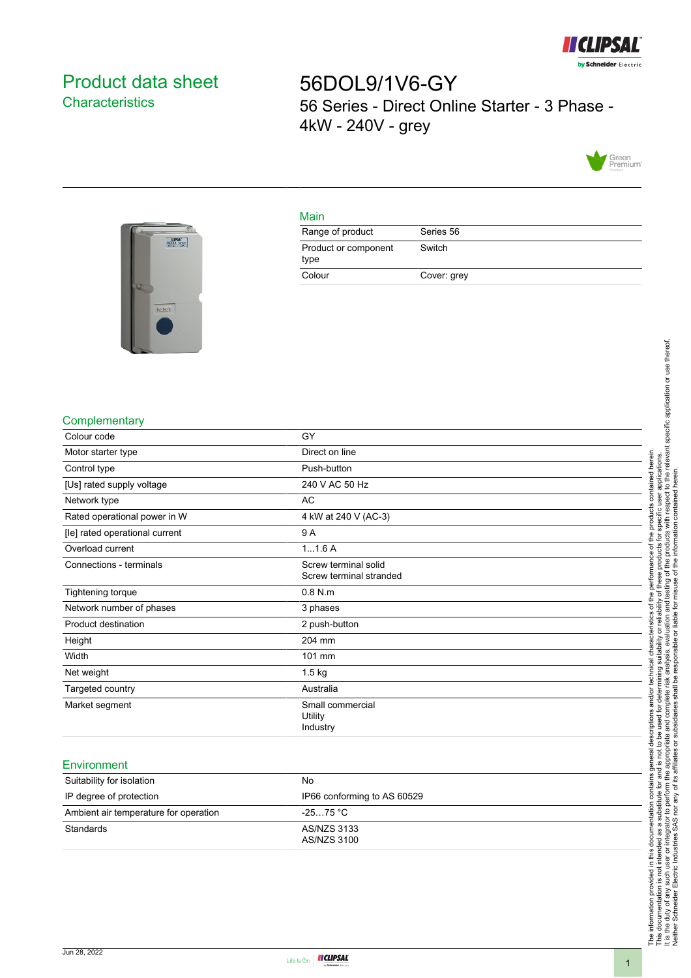

# <span id="page-0-0"></span>Product data sheet **Characteristics**

56DOL9/1V6-GY 56 Series - Direct Online Starter - 3 Phase - 4kW - 240V - grey



## Main

| Range of product             | Series 56   |
|------------------------------|-------------|
| Product or component<br>type | Switch      |
| Colour                       | Cover: grey |



#### **Complementary**

| Colour code                    | GY                                              |
|--------------------------------|-------------------------------------------------|
| Motor starter type             | Direct on line                                  |
| Control type                   | Push-button                                     |
| [Us] rated supply voltage      | 240 V AC 50 Hz                                  |
| Network type                   | AC                                              |
| Rated operational power in W   | 4 kW at 240 V (AC-3)                            |
| [le] rated operational current | 9 A                                             |
| Overload current               | 11.6A                                           |
| Connections - terminals        | Screw terminal solid<br>Screw terminal stranded |
| Tightening torque              | $0.8$ N.m                                       |
| Network number of phases       | 3 phases                                        |
| Product destination            | 2 push-button                                   |
| Height                         | 204 mm                                          |
| Width                          | 101 mm                                          |
| Net weight                     | $1.5$ kg                                        |
| Targeted country               | Australia                                       |
| Market segment                 | Small commercial<br>Utility<br>Industry         |

#### **Environment**

| Suitability for isolation             | No.                         |
|---------------------------------------|-----------------------------|
| IP degree of protection               | IP66 conforming to AS 60529 |
| Ambient air temperature for operation | -25…75 °C                   |
| Standards                             | AS/NZS 3133<br>AS/NZS 3100  |